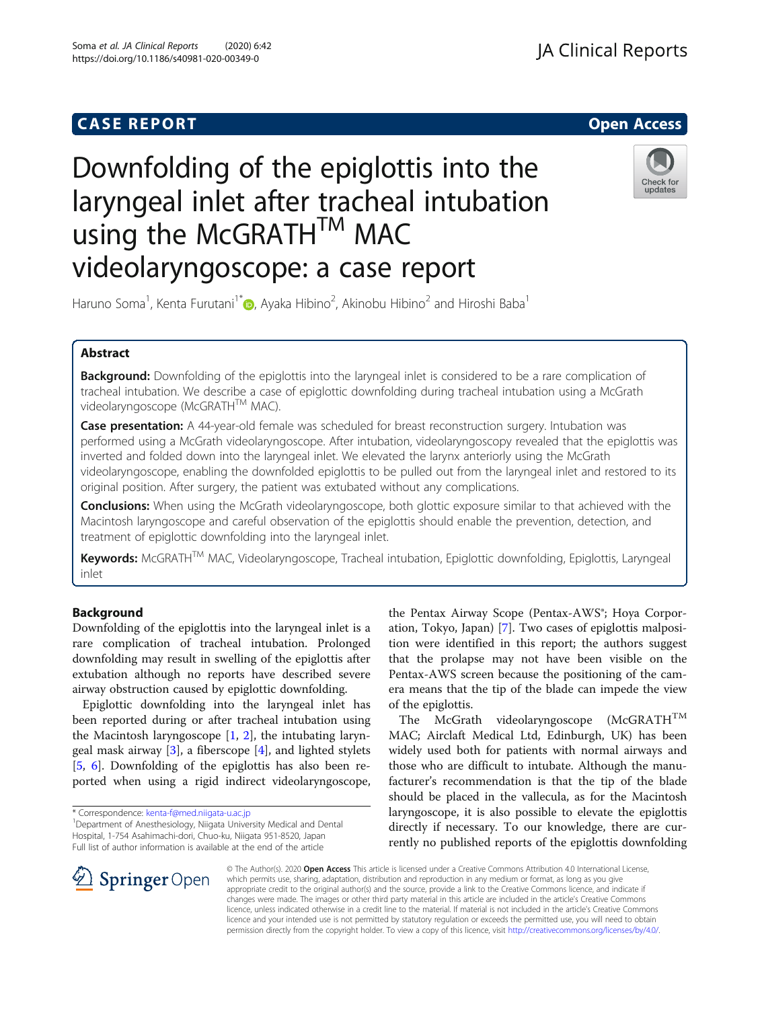## **CASE REPORT And SERVICE SERVICE SERVICE SERVICE SERVICE SERVICE SERVICE SERVICE SERVICE SERVICE SERVICE SERVICE**



# Downfolding of the epiglottis into the laryngeal inlet after tracheal intubation using the McGRATHTM MAC videolaryngoscope: a case report



Haruno Soma<sup>1</sup>, Kenta Furutani<sup>1[\\*](http://orcid.org/0000-0002-1893-4384)</sup>�, Ayaka Hibino<sup>2</sup>, Akinobu Hibino<sup>2</sup> and Hiroshi Baba<sup>1</sup>

## Abstract

**Background:** Downfolding of the epiglottis into the laryngeal inlet is considered to be a rare complication of tracheal intubation. We describe a case of epiglottic downfolding during tracheal intubation using a McGrath videolaryngoscope (McGRATH™ MAC).

Case presentation: A 44-year-old female was scheduled for breast reconstruction surgery. Intubation was performed using a McGrath videolaryngoscope. After intubation, videolaryngoscopy revealed that the epiglottis was inverted and folded down into the laryngeal inlet. We elevated the larynx anteriorly using the McGrath videolaryngoscope, enabling the downfolded epiglottis to be pulled out from the laryngeal inlet and restored to its original position. After surgery, the patient was extubated without any complications.

Conclusions: When using the McGrath videolaryngoscope, both glottic exposure similar to that achieved with the Macintosh laryngoscope and careful observation of the epiglottis should enable the prevention, detection, and treatment of epiglottic downfolding into the laryngeal inlet.

Keywords: McGRATH™ MAC, Videolaryngoscope, Tracheal intubation, Epiglottic downfolding, Epiglottis, Laryngeal inlet

## Background

Downfolding of the epiglottis into the laryngeal inlet is a rare complication of tracheal intubation. Prolonged downfolding may result in swelling of the epiglottis after extubation although no reports have described severe airway obstruction caused by epiglottic downfolding.

Epiglottic downfolding into the laryngeal inlet has been reported during or after tracheal intubation using the Macintosh laryngoscope [\[1,](#page-3-0) [2\]](#page-3-0), the intubating laryngeal mask airway [\[3](#page-3-0)], a fiberscope [\[4](#page-3-0)], and lighted stylets [[5,](#page-3-0) [6](#page-3-0)]. Downfolding of the epiglottis has also been reported when using a rigid indirect videolaryngoscope,

\* Correspondence: [kenta-f@med.niigata-u.ac.jp](mailto:kenta-f@med.niigata-u.ac.jp) <sup>1</sup>

<sup>1</sup> Department of Anesthesiology, Niigata University Medical and Dental Hospital, 1-754 Asahimachi-dori, Chuo-ku, Niigata 951-8520, Japan Full list of author information is available at the end of the article

the Pentax Airway Scope (Pentax-AWS®; Hoya Corporation, Tokyo, Japan) [[7](#page-3-0)]. Two cases of epiglottis malposition were identified in this report; the authors suggest that the prolapse may not have been visible on the Pentax-AWS screen because the positioning of the camera means that the tip of the blade can impede the view of the epiglottis.

The McGrath videolaryngoscope (McGRATH<sup>TM</sup> MAC; Airclaft Medical Ltd, Edinburgh, UK) has been widely used both for patients with normal airways and those who are difficult to intubate. Although the manufacturer's recommendation is that the tip of the blade should be placed in the vallecula, as for the Macintosh laryngoscope, it is also possible to elevate the epiglottis directly if necessary. To our knowledge, there are currently no published reports of the epiglottis downfolding



© The Author(s). 2020 Open Access This article is licensed under a Creative Commons Attribution 4.0 International License, which permits use, sharing, adaptation, distribution and reproduction in any medium or format, as long as you give appropriate credit to the original author(s) and the source, provide a link to the Creative Commons licence, and indicate if changes were made. The images or other third party material in this article are included in the article's Creative Commons licence, unless indicated otherwise in a credit line to the material. If material is not included in the article's Creative Commons licence and your intended use is not permitted by statutory regulation or exceeds the permitted use, you will need to obtain permission directly from the copyright holder. To view a copy of this licence, visit <http://creativecommons.org/licenses/by/4.0/>.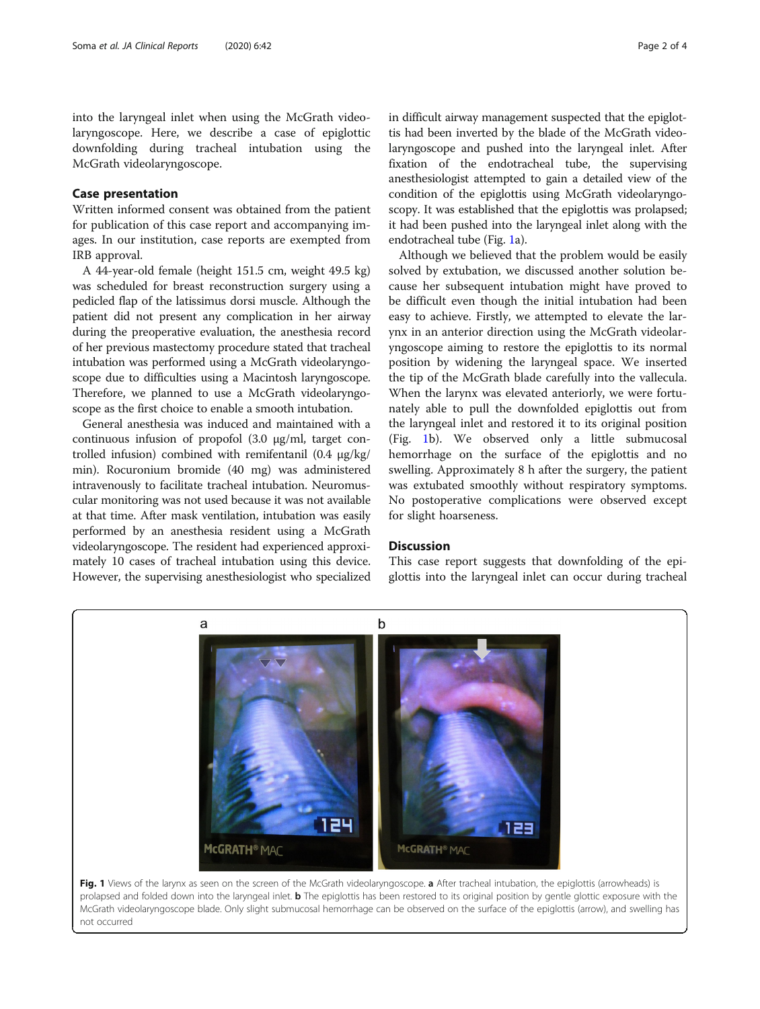into the laryngeal inlet when using the McGrath videolaryngoscope. Here, we describe a case of epiglottic downfolding during tracheal intubation using the McGrath videolaryngoscope.

## Case presentation

Written informed consent was obtained from the patient for publication of this case report and accompanying images. In our institution, case reports are exempted from IRB approval.

A 44-year-old female (height 151.5 cm, weight 49.5 kg) was scheduled for breast reconstruction surgery using a pedicled flap of the latissimus dorsi muscle. Although the patient did not present any complication in her airway during the preoperative evaluation, the anesthesia record of her previous mastectomy procedure stated that tracheal intubation was performed using a McGrath videolaryngoscope due to difficulties using a Macintosh laryngoscope. Therefore, we planned to use a McGrath videolaryngoscope as the first choice to enable a smooth intubation.

General anesthesia was induced and maintained with a continuous infusion of propofol (3.0 μg/ml, target controlled infusion) combined with remifentanil (0.4 μg/kg/ min). Rocuronium bromide (40 mg) was administered intravenously to facilitate tracheal intubation. Neuromuscular monitoring was not used because it was not available at that time. After mask ventilation, intubation was easily performed by an anesthesia resident using a McGrath videolaryngoscope. The resident had experienced approximately 10 cases of tracheal intubation using this device. However, the supervising anesthesiologist who specialized

in difficult airway management suspected that the epiglottis had been inverted by the blade of the McGrath videolaryngoscope and pushed into the laryngeal inlet. After fixation of the endotracheal tube, the supervising anesthesiologist attempted to gain a detailed view of the condition of the epiglottis using McGrath videolaryngoscopy. It was established that the epiglottis was prolapsed; it had been pushed into the laryngeal inlet along with the endotracheal tube (Fig. 1a).

Although we believed that the problem would be easily solved by extubation, we discussed another solution because her subsequent intubation might have proved to be difficult even though the initial intubation had been easy to achieve. Firstly, we attempted to elevate the larynx in an anterior direction using the McGrath videolaryngoscope aiming to restore the epiglottis to its normal position by widening the laryngeal space. We inserted the tip of the McGrath blade carefully into the vallecula. When the larynx was elevated anteriorly, we were fortunately able to pull the downfolded epiglottis out from the laryngeal inlet and restored it to its original position (Fig. 1b). We observed only a little submucosal hemorrhage on the surface of the epiglottis and no swelling. Approximately 8 h after the surgery, the patient was extubated smoothly without respiratory symptoms. No postoperative complications were observed except for slight hoarseness.

### **Discussion**

This case report suggests that downfolding of the epiglottis into the laryngeal inlet can occur during tracheal



McGrath videolaryngoscope blade. Only slight submucosal hemorrhage can be observed on the surface of the epiglottis (arrow), and swelling has not occurred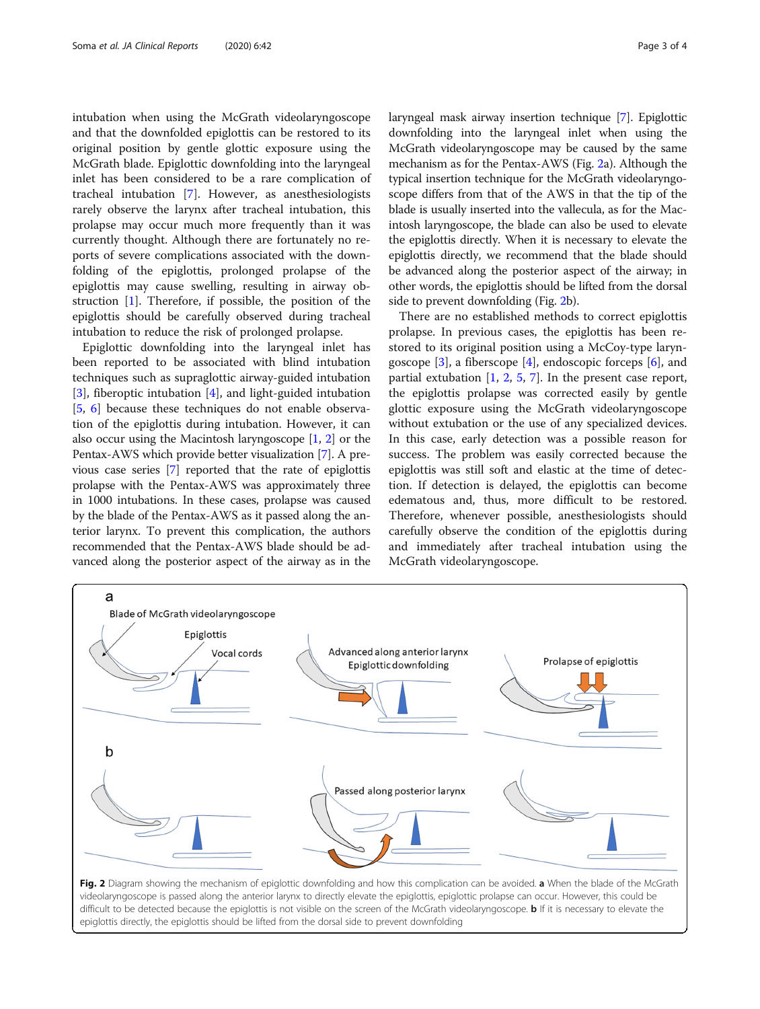intubation when using the McGrath videolaryngoscope and that the downfolded epiglottis can be restored to its original position by gentle glottic exposure using the McGrath blade. Epiglottic downfolding into the laryngeal inlet has been considered to be a rare complication of tracheal intubation [[7\]](#page-3-0). However, as anesthesiologists rarely observe the larynx after tracheal intubation, this prolapse may occur much more frequently than it was currently thought. Although there are fortunately no reports of severe complications associated with the downfolding of the epiglottis, prolonged prolapse of the epiglottis may cause swelling, resulting in airway obstruction [[1\]](#page-3-0). Therefore, if possible, the position of the epiglottis should be carefully observed during tracheal intubation to reduce the risk of prolonged prolapse.

Epiglottic downfolding into the laryngeal inlet has been reported to be associated with blind intubation techniques such as supraglottic airway-guided intubation [[3\]](#page-3-0), fiberoptic intubation [\[4](#page-3-0)], and light-guided intubation [[5,](#page-3-0) [6](#page-3-0)] because these techniques do not enable observation of the epiglottis during intubation. However, it can also occur using the Macintosh laryngoscope [\[1,](#page-3-0) [2\]](#page-3-0) or the Pentax-AWS which provide better visualization [[7\]](#page-3-0). A previous case series [\[7\]](#page-3-0) reported that the rate of epiglottis prolapse with the Pentax-AWS was approximately three in 1000 intubations. In these cases, prolapse was caused by the blade of the Pentax-AWS as it passed along the anterior larynx. To prevent this complication, the authors recommended that the Pentax-AWS blade should be advanced along the posterior aspect of the airway as in the laryngeal mask airway insertion technique [\[7](#page-3-0)]. Epiglottic downfolding into the laryngeal inlet when using the McGrath videolaryngoscope may be caused by the same mechanism as for the Pentax-AWS (Fig. 2a). Although the typical insertion technique for the McGrath videolaryngoscope differs from that of the AWS in that the tip of the blade is usually inserted into the vallecula, as for the Macintosh laryngoscope, the blade can also be used to elevate the epiglottis directly. When it is necessary to elevate the epiglottis directly, we recommend that the blade should be advanced along the posterior aspect of the airway; in other words, the epiglottis should be lifted from the dorsal side to prevent downfolding (Fig. 2b).

There are no established methods to correct epiglottis prolapse. In previous cases, the epiglottis has been restored to its original position using a McCoy-type laryngoscope  $[3]$  $[3]$ , a fiberscope  $[4]$  $[4]$ , endoscopic forceps  $[6]$  $[6]$ , and partial extubation  $[1, 2, 5, 7]$  $[1, 2, 5, 7]$  $[1, 2, 5, 7]$  $[1, 2, 5, 7]$  $[1, 2, 5, 7]$  $[1, 2, 5, 7]$  $[1, 2, 5, 7]$  $[1, 2, 5, 7]$ . In the present case report, the epiglottis prolapse was corrected easily by gentle glottic exposure using the McGrath videolaryngoscope without extubation or the use of any specialized devices. In this case, early detection was a possible reason for success. The problem was easily corrected because the epiglottis was still soft and elastic at the time of detection. If detection is delayed, the epiglottis can become edematous and, thus, more difficult to be restored. Therefore, whenever possible, anesthesiologists should carefully observe the condition of the epiglottis during and immediately after tracheal intubation using the McGrath videolaryngoscope.



videolaryngoscope is passed along the anterior larynx to directly elevate the epiglottis, epiglottic prolapse can occur. However, this could be difficult to be detected because the epiglottis is not visible on the screen of the McGrath videolaryngoscope. **b** If it is necessary to elevate the epiglottis directly, the epiglottis should be lifted from the dorsal side to prevent downfolding